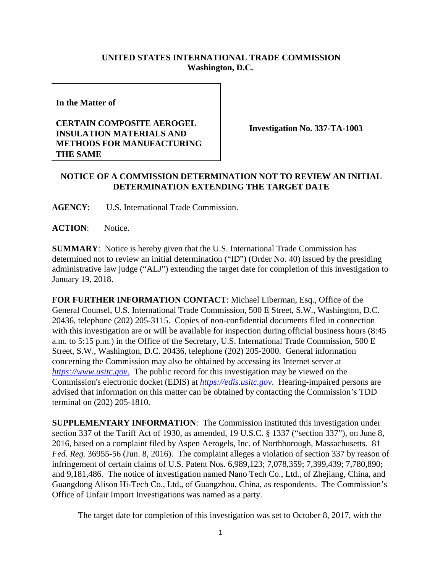## **UNITED STATES INTERNATIONAL TRADE COMMISSION Washington, D.C.**

**In the Matter of**

## **CERTAIN COMPOSITE AEROGEL INSULATION MATERIALS AND METHODS FOR MANUFACTURING THE SAME**

**Investigation No. 337-TA-1003**

## **NOTICE OF A COMMISSION DETERMINATION NOT TO REVIEW AN INITIAL DETERMINATION EXTENDING THE TARGET DATE**

**AGENCY**: U.S. International Trade Commission.

**ACTION**: Notice.

**SUMMARY**: Notice is hereby given that the U.S. International Trade Commission has determined not to review an initial determination ("ID") (Order No. 40) issued by the presiding administrative law judge ("ALJ") extending the target date for completion of this investigation to January 19, 2018.

**FOR FURTHER INFORMATION CONTACT**: Michael Liberman, Esq., Office of the General Counsel, U.S. International Trade Commission, 500 E Street, S.W., Washington, D.C. 20436, telephone (202) 205-3115. Copies of non-confidential documents filed in connection with this investigation are or will be available for inspection during official business hours (8:45 a.m. to 5:15 p.m.) in the Office of the Secretary, U.S. International Trade Commission, 500 E Street, S.W., Washington, D.C. 20436, telephone (202) 205-2000. General information concerning the Commission may also be obtained by accessing its Internet server at *https://www.usitc.gov*. The public record for this investigation may be viewed on the Commission's electronic docket (EDIS) at *https://edis.usitc.gov*. Hearing-impaired persons are advised that information on this matter can be obtained by contacting the Commission's TDD terminal on (202) 205-1810.

**SUPPLEMENTARY INFORMATION**: The Commission instituted this investigation under section 337 of the Tariff Act of 1930, as amended, 19 U.S.C. § 1337 ("section 337"), on June 8, 2016, based on a complaint filed by Aspen Aerogels, Inc. of Northborough, Massachusetts. 81 *Fed. Reg.* 36955-56 (Jun. 8, 2016). The complaint alleges a violation of section 337 by reason of infringement of certain claims of U.S. Patent Nos. 6,989,123; 7,078,359; 7,399,439; 7,780,890; and 9,181,486. The notice of investigation named Nano Tech Co., Ltd., of Zhejiang, China, and Guangdong Alison Hi-Tech Co., Ltd., of Guangzhou, China, as respondents. The Commission's Office of Unfair Import Investigations was named as a party.

The target date for completion of this investigation was set to October 8, 2017, with the